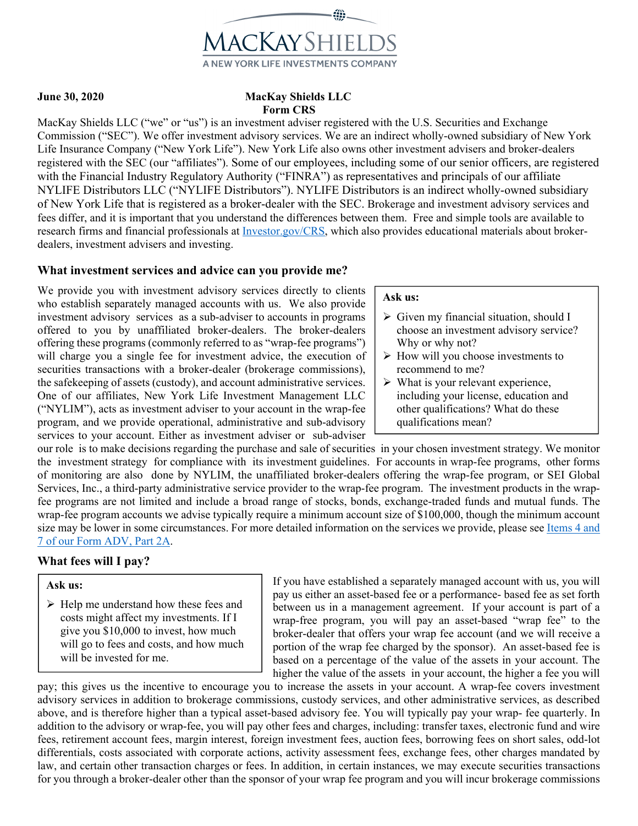

## **June 30, 2020 MacKay Shields LLC Form CRS**

MacKay Shields LLC ("we" or "us") is an investment adviser registered with the U.S. Securities and Exchange Commission ("SEC"). We offer investment advisory services. We are an indirect wholly-owned subsidiary of New York Life Insurance Company ("New York Life"). New York Life also owns other investment advisers and broker-dealers registered with the SEC (our "affiliates"). Some of our employees, including some of our senior officers, are registered with the Financial Industry Regulatory Authority ("FINRA") as representatives and principals of our affiliate NYLIFE Distributors LLC ("NYLIFE Distributors"). NYLIFE Distributors is an indirect wholly-owned subsidiary of New York Life that is registered as a broker-dealer with the SEC. Brokerage and investment advisory services and fees differ, and it is important that you understand the differences between them. Free and simple tools are available to research firms and financial professionals at Investor.gov/CRS, which also provides educational materials about brokerdealers, investment advisers and investing.

## **What investment services and advice can you provide me?**

We provide you with investment advisory services directly to clients who establish separately managed accounts with us. We also provide investment advisory services as a sub-adviser to accounts in programs offered to you by unaffiliated broker-dealers. The broker-dealers offering these programs (commonly referred to as "wrap-fee programs") will charge you a single fee for investment advice, the execution of securities transactions with a broker-dealer (brokerage commissions), the safekeeping of assets (custody), and account administrative services. One of our affiliates, New York Life Investment Management LLC ("NYLIM"), acts as investment adviser to your account in the wrap-fee program, and we provide operational, administrative and sub-advisory services to your account. Either as investment adviser or sub-adviser

### **Ask us:**

- $\triangleright$  Given my financial situation, should I choose an investment advisory service? Why or why not?
- $\triangleright$  How will you choose investments to recommend to me?
- $\triangleright$  What is your relevant experience, including your license, education and other qualifications? What do these qualifications mean?

our role is to make decisions regarding the purchase and sale of securities in your chosen investment strategy. We monitor the investment strategy for compliance with its investment guidelines. For accounts in wrap-fee programs, other forms of monitoring are also done by NYLIM, the unaffiliated broker-dealers offering the wrap-fee program, or SEI Global Services, Inc., a third-party administrative service provider to the wrap-fee program. The investment products in the wrapfee programs are not limited and include a broad range of stocks, bonds, exchange-traded funds and mutual funds. The wrap-fee program accounts we advise typically require a minimum account size of \$100,000, though the minimum account size may be lower in some circumstances. For more detailed information on the services we provide, please see Items 4 and 7 of our Form ADV, Part 2A.

## **What fees will I pay?**

## **Ask us:**

 $\triangleright$  Help me understand how these fees and costs might affect my investments. If I give you \$10,000 to invest, how much will go to fees and costs, and how much will be invested for me.

If you have established a separately managed account with us, you will pay us either an asset-based fee or a performance- based fee as set forth between us in a management agreement. If your account is part of a wrap-free program, you will pay an asset-based "wrap fee" to the broker-dealer that offers your wrap fee account (and we will receive a portion of the wrap fee charged by the sponsor). An asset-based fee is based on a percentage of the value of the assets in your account. The higher the value of the assets in your account, the higher a fee you will

pay; this gives us the incentive to encourage you to increase the assets in your account. A wrap-fee covers investment advisory services in addition to brokerage commissions, custody services, and other administrative services, as described above, and is therefore higher than a typical asset-based advisory fee. You will typically pay your wrap- fee quarterly. In addition to the advisory or wrap-fee, you will pay other fees and charges, including: transfer taxes, electronic fund and wire fees, retirement account fees, margin interest, foreign investment fees, auction fees, borrowing fees on short sales, odd-lot differentials, costs associated with corporate actions, activity assessment fees, exchange fees, other charges mandated by law, and certain other transaction charges or fees. In addition, in certain instances, we may execute securities transactions for you through a broker-dealer other than the sponsor of your wrap fee program and you will incur brokerage commissions